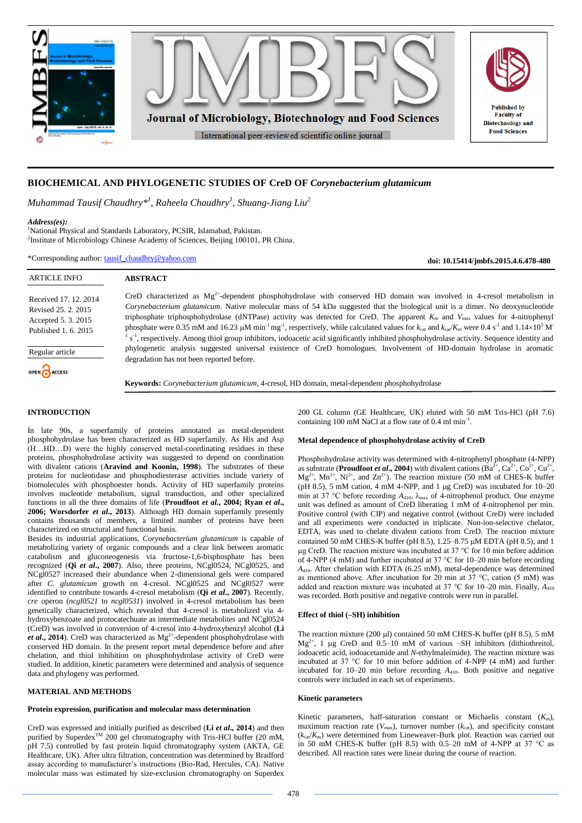

# **BIOCHEMICAL AND PHYLOGENETIC STUDIES OF CreD OF** *Corynebacterium glutamicum*

*Muhammad Tausif Chaudhry\* 1 , Raheela Chaudhry<sup>1</sup> , Shuang-Jiang Liu<sup>2</sup>*

#### *Address(es):*

<sup>1</sup>National Physical and Standards Laboratory, PCSIR, Islamabad, Pakistan. <sup>2</sup>Institute of Microbiology Chinese Academy of Sciences, Beijing 100101, PR China.

\*Corresponding author: [tausif\\_chaudhry@yahoo.com](mailto:tausif_chaudhry@yahoo.com)

**doi: 10.15414/jmbfs.2015.4.6.478-480**

| <b>ARTICLE INFO</b>                                                                       | <b>ABSTRACT</b>                                                                                                                                                                                                                                                                                                                                                                                                                                                                                                                                                                                                                                       |
|-------------------------------------------------------------------------------------------|-------------------------------------------------------------------------------------------------------------------------------------------------------------------------------------------------------------------------------------------------------------------------------------------------------------------------------------------------------------------------------------------------------------------------------------------------------------------------------------------------------------------------------------------------------------------------------------------------------------------------------------------------------|
| Received 17, 12, 2014<br>Revised 25, 2, 2015<br>Accepted 5.3.2015<br>Published 1, 6, 2015 | CreD characterized as $Mg^{2+}$ -dependent phosphohydrolase with conserved HD domain was involved in 4-cresol metabolism in<br>Corynebacterium glutamicum. Native molecular mass of 54 kDa suggested that the biological unit is a dimer. No deoxynucleotide<br>triphosphate triphosphohydrolase (dNTPase) activity was detected for CreD. The apparent $K_m$ and $V_{\text{max}}$ values for 4-nitrophenyl<br>phosphate were 0.35 mM and 16.23 µM min <sup>-1</sup> mg <sup>-1</sup> , respectively, while calculated values for $k_{\text{cat}}$ and $k_{\text{cat}}/K_{\text{m}}$ were 0.4 s <sup>-1</sup> and 1.14×10 <sup>3</sup> M <sup>-</sup> |
| Regular article                                                                           | s <sup>-1</sup> , respectively. Among thiol group inhibitors, iodoacetic acid significantly inhibited phosphohydrolase activity. Sequence identity and<br>phylogenetic analysis suggested universal existence of CreD homologues. Involvement of HD-domain hydrolase in aromatic<br>degradation has not been reported before.                                                                                                                                                                                                                                                                                                                         |
| OPEN CACCESS                                                                              | Keywords: Corynebacterium glutamicum, 4-cresol, HD domain, metal-dependent phosphohydrolase                                                                                                                                                                                                                                                                                                                                                                                                                                                                                                                                                           |

## **INTRODUCTION**

In late 90s, a superfamily of proteins annotated as metal-dependent phosphohydrolase has been characterized as HD superfamily. As His and Asp (H…HD…D) were the highly conserved metal-coordinating residues in these proteins, phosphohydrolase activity was suggested to depend on coordination with divalent cations (Aravind and Koonin, 1998). The substrates of these proteins for nucleotidase and phosphodiesterase activities include variety of biomolecules with phosphoester bonds. Activity of HD superfamily proteins involves nucleotide metabolism, signal transduction, and other specialized functions in all the three domains of life (**Proudfoot** *et al***., 2004; Ryan** *et al***., 2006; Worsdorfer** *et al***., 2013**). Although HD domain superfamily presently contains thousands of members, a limited number of proteins have been characterized on structural and functional basis.

Besides its industrial applications, *Corynebacterium glutamicum* is capable of metabolizing variety of organic compounds and a clear link between aromatic catabolism and gluconeogenesis via fructose-1,6-bisphosphate has been recognized (**Qi** *et al***., 2007**). Also, three proteins, NCgl0524, NCgl0525, and NCgl0527 increased their abundance when 2-dimensional gels were compared after *C. glutamicum* growth on 4-cresol. NCgl0525 and NCgl0527 were identified to contribute towards 4-cresol metabolism (**Qi** *et al***., 2007**). Recently, *cre* operon (*ncgl0521* to *ncgl0531*) involved in 4-cresol metabolism has been genetically characterized, which revealed that 4-cresol is metabolized via 4 hydroxybenzoate and protocatechuate as intermediate metabolites and NCgl0524 (CreD) was involved in conversion of 4-cresol into 4-hydroxybenzyl alcohol (**Li**  *et al.*, 2014). CreD was characterized as  $Mg^{2+}$ -dependent phosphohydrolase with conserved HD domain. In the present report metal dependence before and after chelation, and thiol inhibition on phosphohydrolase activity of CreD were studied. In addition, kinetic parameters were determined and analysis of sequence data and phylogeny was performed.

## **MATERIAL AND METHODS**

#### **Protein expression, purification and molecular mass determination**

CreD was expressed and initially purified as described (**Li** *et al***., 2014**) and then purified by Superdex<sup>TM</sup> 200 gel chromatography with Tris-HCl buffer (20 mM, pH 7.5) controlled by fast protein liquid chromatography system (AKTA, GE Healthcare, UK). After ultra filtration, concentration was determined by Bradford assay according to manufacturer's instructions (Bio-Rad, Hercules, CA). Native molecular mass was estimated by size-exclusion chromatography on Superdex 200 GL column (GE Healthcare, UK) eluted with 50 mM Tris-HCl (pH 7.6) containing 100 mM NaCl at a flow rate of  $0.4$  ml min<sup>-1</sup>.

#### **Metal dependence of phosphohydrolase activity of CreD**

Phosphohydrolase activity was determined with 4-nitrophenyl phosphate (4-NPP) as substrate (**Proudfoot** *et al.***, 2004**) with divalent cations  $(Ba^{2+}, Ca^{2+}, Co^{2+}, Cu^{2+},$  $Mg^{2+}$ ,  $Mn^{2+}$ ,  $Ni^{2+}$ , and  $Zn^{2+}$ ). The reaction mixture (50 mM of CHES-K buffer (pH 8.5), 5 mM cation, 4 mM 4-NPP, and 1  $\mu$ g CreD) was incubated for 10–20 min at 37 °C before recording *A*410, λmax of 4-nitrophenol product. One enzyme unit was defined as amount of CreD liberating 1 mM of 4-nitrophenol per min. Positive control (with CIP) and negative control (without CreD) were included and all experiments were conducted in triplicate. Non-ion-selective chelator, EDTA, was used to chelate divalent cations from CreD. The reaction mixture contained 50 mM CHES-K buffer (pH 8.5),  $1.25-8.75$   $\mu$ M EDTA (pH 8.5), and 1  $\mu$ g CreD. The reaction mixture was incubated at 37 °C for 10 min before addition of 4-NPP (4 mM) and further incubated at 37 °C for 10–20 min before recording *A*410. After chelation with EDTA (6.25 mM), metal-dependence was determined as mentioned above. After incubation for 20 min at 37 °C, cation (5 mM) was added and reaction mixture was incubated at 37 °C for 10–20 min. Finally, *A*<sup>410</sup> was recorded. Both positive and negative controls were run in parallel.

### **Effect of thiol (–SH) inhibition**

The reaction mixture (200  $\mu$ ) contained 50 mM CHES-K buffer (pH 8.5), 5 mM  $Mg^{2+}$ , 1 µg CreD and 0.5–10 mM of various –SH inhibitors (dithiothreitol, iodoacetic acid, iodoacetamide and *N*-ethylmaleimide). The reaction mixture was incubated at 37 °C for 10 min before addition of 4-NPP (4 mM) and further incubated for 10–20 min before recording *A*410. Both positive and negative controls were included in each set of experiments.

#### **Kinetic parameters**

Kinetic parameters, half-saturation constant or Michaelis constant (*K*m), maximum reaction rate  $(V_{\text{max}})$ , turnover number  $(k_{\text{cat}})$ , and specificity constant  $(k_{cat}/K_m)$  were determined from Lineweaver-Burk plot. Reaction was carried out in 50 mM CHES-K buffer (pH 8.5) with 0.5–20 mM of 4-NPP at 37  $^{\circ}$ C as described. All reaction rates were linear during the course of reaction.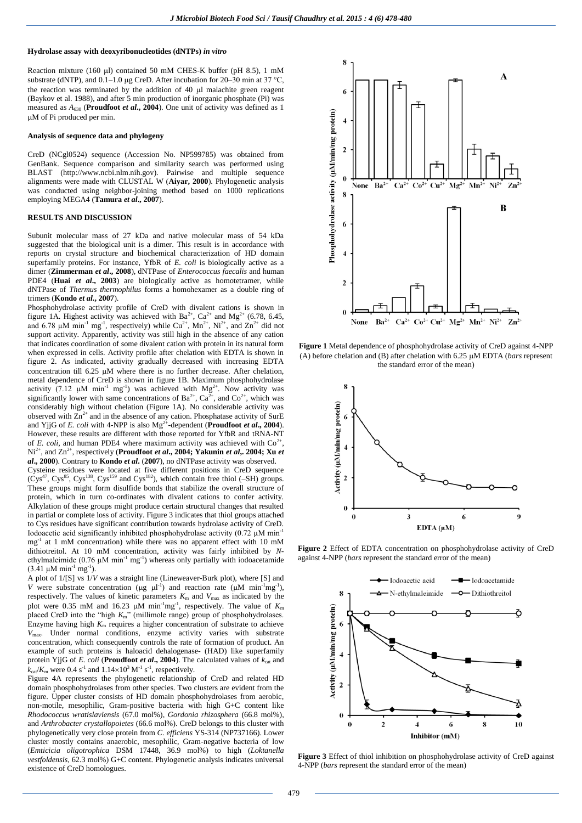#### **Hydrolase assay with deoxyribonucleotides (dNTPs)** *in vitro*

Reaction mixture (160 µl) contained 50 mM CHES-K buffer (pH 8.5), 1 mM substrate (dNTP), and  $0.1-1.0 \mu$ g CreD. After incubation for 20–30 min at 37 °C, the reaction was terminated by the addition of  $40 \mu l$  malachite green reagent (Baykov et al. 1988), and after 5 min production of inorganic phosphate (Pi) was measured as  $A_{630}$  (**Proudfoot** *et al.***, 2004**). One unit of activity was defined as 1 M of Pi produced per min.

#### **Analysis of sequence data and phylogeny**

CreD (NCgl0524) sequence (Accession No. NP599785) was obtained from GenBank. Sequence comparison and similarity search was performed using BLAST [\(http://www.ncbi.nlm.nih.gov\)](http://www.ncbi.nlm.nih.gov/). Pairwise and multiple sequence alignments were made with CLUSTAL W (**Aiyar, 2000**). Phylogenetic analysis was conducted using neighbor-joining method based on 1000 replications employing MEGA4 (**Tamura** *et al***., 2007**).

### **RESULTS AND DISCUSSION**

Subunit molecular mass of 27 kDa and native molecular mass of 54 kDa suggested that the biological unit is a dimer. This result is in accordance with reports on crystal structure and biochemical characterization of HD domain superfamily proteins. For instance, YfbR of *E. coli* is biologically active as a dimer (**Zimmerman** *et al***., 2008**), dNTPase of *Enterococcus faecalis* and human PDE4 (**Huai** *et al.***, 2003**) are biologically active as homotetramer, while dNTPase of *Thermus thermophilus* forms a homohexamer as a double ring of trimers (**Kondo** *et al***., 2007**).

Phosphohydrolase activity profile of CreD with divalent cations is shown in figure 1A. Highest activity was achieved with  $Ba^{2+}$ ,  $Ca^{2+}$  and  $Mg^{2+}$  (6.78, 6.45, and 6.78  $\mu$ M min<sup>-1</sup> mg<sup>-1</sup>, respectively) while Cu<sup>2+</sup>, Mn<sup>2+</sup>, Ni<sup>2+</sup>, and Zn<sup>2+</sup> did not support activity. Apparently, activity was still high in the absence of any cation that indicates coordination of some divalent cation with protein in its natural form when expressed in cells. Activity profile after chelation with EDTA is shown in figure 2. As indicated, activity gradually decreased with increasing EDTA concentration till 6.25  $\mu$ M where there is no further decrease. After chelation, metal dependence of CreD is shown in figure 1B. Maximum phosphohydrolase activity (7.12  $\mu$ M min<sup>-1</sup> mg<sup>-1</sup>) was achieved with Mg<sup>2+</sup>. Now activity was significantly lower with same concentrations of  $Ba^{2+}$ ,  $Ca^{2+}$ , and  $Co^{2+}$ , which was considerably high without chelation (Figure 1A). No considerable activity was observed with  $\overline{\text{Zn}}^{2+}$  and in the absence of any cation. Phosphatase activity of SurE and YjjG of *E. coli* with 4-NPP is also  $Mg^{2+}$ -dependent (**Proudfoot** *et al.*, 2004). However, these results are different with those reported for YfbR and tRNA-NT of *E. coli*, and human PDE4 where maximum activity was achieved with  $Co^{2+}$ , Ni<sup>2+</sup>, and Zn<sup>2+</sup>, respectively (Proudfoot *et al.*, 2004; Yakunin *et al.*, 2004; Xu *et al***., 2000**). Contrary to **Kondo** *et al***.** (**2007**), no dNTPase activity was observed. Cysteine residues were located at five different positions in CreD sequence  $(Cys^{47}, Cys^{85}, Cys^{138}, Cys^{159}$  and  $Cys^{182}$ ), which contain free thiol (–SH) groups. These groups might form disulfide bonds that stabilize the overall structure of protein, which in turn co-ordinates with divalent cations to confer activity. Alkylation of these groups might produce certain structural changes that resulted in partial or complete loss of activity. Figure 3 indicates that thiol groups attached to Cys residues have significant contribution towards hydrolase activity of CreD. Iodoacetic acid significantly inhibited phosphohydrolase activity (0.72  $\mu$ M minmg-1 at 1 mM concentration) while there was no apparent effect with 10 mM dithiotreitol. At 10 mM concentration, activity was fairly inhibited by *N*ethylmaleimide  $(0.76 \mu M \text{ min}^{-1} \text{ mg}^{-1})$  whereas only partially with iodoacetamide  $(3.41 \mu M \text{ min}^{-1} \text{ mg}^{-1})$ .

A plot of 1/[S] vs 1/*V* was a straight line (Lineweaver-Burk plot), where [S] and *V* were substrate concentration ( $\mu$ g  $\mu$ <sup>1</sup>) and reaction rate ( $\mu$ M min<sup>-1</sup>mg<sup>-1</sup>), respectively. The values of kinetic parameters  $K<sub>m</sub>$  and  $V<sub>max</sub>$  as indicated by the plot were 0.35 mM and 16.23  $\mu$ M min<sup>-1</sup>mg<sup>-1</sup>, respectively. The value of  $K<sub>m</sub>$ placed CreD into the "high  $K_m$ " (millimole range) group of phosphohydrolases. Enzyme having high  $K<sub>m</sub>$  requires a higher concentration of substrate to achieve *V*max. Under normal conditions, enzyme activity varies with substrate concentration, which consequently controls the rate of formation of product. An example of such proteins is haloacid dehalogenase- (HAD) like superfamily protein YjjG of *E. coli* (**Proudfoot** *et al.***, 2004**). The calculated values of  $k_{cat}$  and  $k_{\text{cat}}/K_{\text{m}}$  were 0.4 s<sup>-1</sup> and  $1.14 \times 10^3 \text{ M}^{-1} \text{ s}^{-1}$ , respectively.

Figure 4A represents the phylogenetic relationship of CreD and related HD domain phosphohydrolases from other species. Two clusters are evident from the figure. Upper cluster consists of HD domain phosphohydrolases from aerobic, non-motile, mesophilic, Gram-positive bacteria with high G+C content like *Rhodococcus wratislaviensis* (67.0 mol%), *Gordonia rhizosphera* (66.8 mol%), and *Arthrobacter crystallopoietes* (66.6 mol%). CreD belongs to this cluster with phylogenetically very close protein from *C. efficiens* YS-314 (NP737166). Lower cluster mostly contains anaerobic, mesophilic, Gram-negative bacteria of low (*Emticicia oligotrophica* DSM 17448, 36.9 mol%) to high (*Loktanella vestfoldensis*, 62.3 mol%) G+C content. Phylogenetic analysis indicates universal existence of CreD homologues.



**Figure 1** Metal dependence of phosphohydrolase activity of CreD against 4-NPP (A) before chelation and (B) after chelation with  $6.25 \mu M$  EDTA (*bars* represent the standard error of the mean)



**Figure 2** Effect of EDTA concentration on phosphohydrolase activity of CreD against 4-NPP (*bars* represent the standard error of the mean)



**Figure 3** Effect of thiol inhibition on phosphohydrolase activity of CreD against 4-NPP (*bars* represent the standard error of the mean)